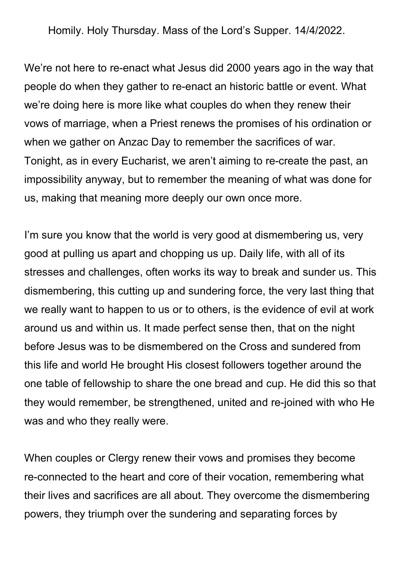Homily. Holy Thursday. Mass of the Lord's Supper. 14/4/2022.

We're not here to re-enact what Jesus did 2000 years ago in the way that people do when they gather to re-enact an historic battle or event. What we're doing here is more like what couples do when they renew their vows of marriage, when a Priest renews the promises of his ordination or when we gather on Anzac Day to remember the sacrifices of war. Tonight, as in every Eucharist, we aren't aiming to re-create the past, an impossibility anyway, but to remember the meaning of what was done for us, making that meaning more deeply our own once more.

I'm sure you know that the world is very good at dismembering us, very good at pulling us apart and chopping us up. Daily life, with all of its stresses and challenges, often works its way to break and sunder us. This dismembering, this cutting up and sundering force, the very last thing that we really want to happen to us or to others, is the evidence of evil at work around us and within us. It made perfect sense then, that on the night before Jesus was to be dismembered on the Cross and sundered from this life and world He brought His closest followers together around the one table of fellowship to share the one bread and cup. He did this so that they would remember, be strengthened, united and re-joined with who He was and who they really were.

When couples or Clergy renew their vows and promises they become re-connected to the heart and core of their vocation, remembering what their lives and sacrifices are all about. They overcome the dismembering powers, they triumph over the sundering and separating forces by